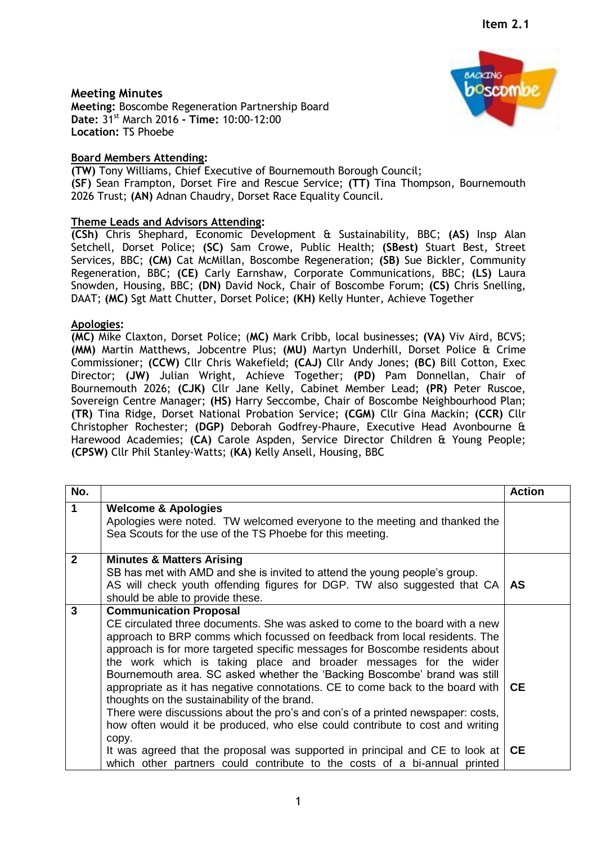## **Meeting Minutes**

**Meeting:** Boscombe Regeneration Partnership Board **Date:** 31st March 2016 **- Time:** 10:00-12:00 **Location:** TS Phoebe

## **Board Members Attending:**

**(TW)** Tony Williams, Chief Executive of Bournemouth Borough Council; **(SF)** Sean Frampton, Dorset Fire and Rescue Service; **(TT)** Tina Thompson, Bournemouth 2026 Trust; **(AN)** Adnan Chaudry, Dorset Race Equality Council.

## **Theme Leads and Advisors Attending:**

**(CSh)** Chris Shephard, Economic Development & Sustainability, BBC; **(AS)** Insp Alan Setchell, Dorset Police; **(SC)** Sam Crowe, Public Health; **(SBest)** Stuart Best, Street Services, BBC; **(CM)** Cat McMillan, Boscombe Regeneration; **(SB)** Sue Bickler, Community Regeneration, BBC; **(CE)** Carly Earnshaw, Corporate Communications, BBC; **(LS)** Laura Snowden, Housing, BBC; **(DN)** David Nock, Chair of Boscombe Forum; **(CS)** Chris Snelling, DAAT; **(MC)** Sgt Matt Chutter, Dorset Police; **(KH)** Kelly Hunter, Achieve Together

## **Apologies:**

**(MC)** Mike Claxton, Dorset Police; (**MC)** Mark Cribb, local businesses; **(VA)** Viv Aird, BCVS; **(MM)** Martin Matthews, Jobcentre Plus; **(MU)** Martyn Underhill, Dorset Police & Crime Commissioner; **(CCW)** Cllr Chris Wakefield; **(CAJ)** Cllr Andy Jones; **(BC)** Bill Cotton, Exec Director; **(JW)** Julian Wright, Achieve Together; **(PD)** Pam Donnellan, Chair of Bournemouth 2026; **(CJK)** Cllr Jane Kelly, Cabinet Member Lead; **(PR)** Peter Ruscoe, Sovereign Centre Manager; **(HS)** Harry Seccombe, Chair of Boscombe Neighbourhood Plan; **(TR)** Tina Ridge, Dorset National Probation Service; **(CGM)** Cllr Gina Mackin; **(CCR)** Cllr Christopher Rochester; **(DGP)** Deborah Godfrey-Phaure, Executive Head Avonbourne & Harewood Academies; **(CA)** Carole Aspden, Service Director Children & Young People; **(CPSW)** Cllr Phil Stanley-Watts; (**KA)** Kelly Ansell, Housing, BBC

| No.          |                                                                                                                                                                                                                                                                                                                                                                                                                                                                                                                                                                                                                                                                                                                                                                                                                                                                                                                                        | <b>Action</b> |
|--------------|----------------------------------------------------------------------------------------------------------------------------------------------------------------------------------------------------------------------------------------------------------------------------------------------------------------------------------------------------------------------------------------------------------------------------------------------------------------------------------------------------------------------------------------------------------------------------------------------------------------------------------------------------------------------------------------------------------------------------------------------------------------------------------------------------------------------------------------------------------------------------------------------------------------------------------------|---------------|
| $\mathbf 1$  | <b>Welcome &amp; Apologies</b><br>Apologies were noted. TW welcomed everyone to the meeting and thanked the<br>Sea Scouts for the use of the TS Phoebe for this meeting.                                                                                                                                                                                                                                                                                                                                                                                                                                                                                                                                                                                                                                                                                                                                                               |               |
| $\mathbf{2}$ | <b>Minutes &amp; Matters Arising</b><br>SB has met with AMD and she is invited to attend the young people's group.<br>AS will check youth offending figures for DGP. TW also suggested that CA<br>should be able to provide these.                                                                                                                                                                                                                                                                                                                                                                                                                                                                                                                                                                                                                                                                                                     | AS.           |
| 3            | <b>Communication Proposal</b><br>CE circulated three documents. She was asked to come to the board with a new<br>approach to BRP comms which focussed on feedback from local residents. The<br>approach is for more targeted specific messages for Boscombe residents about<br>the work which is taking place and broader messages for the wider<br>Bournemouth area. SC asked whether the 'Backing Boscombe' brand was still<br>appropriate as it has negative connotations. CE to come back to the board with $\mathsf{\Gamma}\mathsf{CE}$<br>thoughts on the sustainability of the brand.<br>There were discussions about the pro's and con's of a printed newspaper: costs,<br>how often would it be produced, who else could contribute to cost and writing<br>copy.<br>It was agreed that the proposal was supported in principal and CE to look at<br>which other partners could contribute to the costs of a bi-annual printed | CE.           |

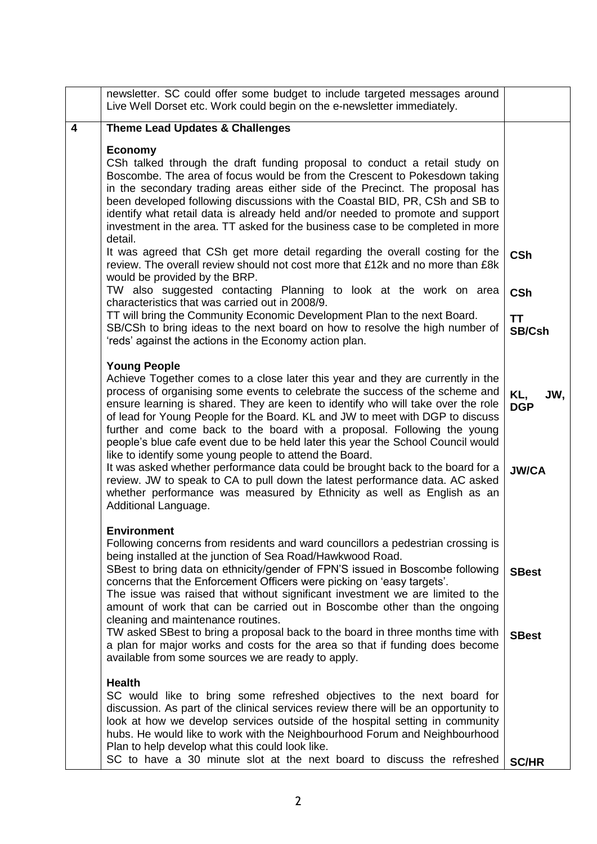|                         | newsletter. SC could offer some budget to include targeted messages around<br>Live Well Dorset etc. Work could begin on the e-newsletter immediately.                                                                                                                                                                                                                                                                                                                                                                                                                                                                                                                                                                                                                                                                                                     |                                                 |
|-------------------------|-----------------------------------------------------------------------------------------------------------------------------------------------------------------------------------------------------------------------------------------------------------------------------------------------------------------------------------------------------------------------------------------------------------------------------------------------------------------------------------------------------------------------------------------------------------------------------------------------------------------------------------------------------------------------------------------------------------------------------------------------------------------------------------------------------------------------------------------------------------|-------------------------------------------------|
| $\overline{\mathbf{4}}$ | <b>Theme Lead Updates &amp; Challenges</b>                                                                                                                                                                                                                                                                                                                                                                                                                                                                                                                                                                                                                                                                                                                                                                                                                |                                                 |
|                         | <b>Economy</b><br>CSh talked through the draft funding proposal to conduct a retail study on<br>Boscombe. The area of focus would be from the Crescent to Pokesdown taking<br>in the secondary trading areas either side of the Precinct. The proposal has<br>been developed following discussions with the Coastal BID, PR, CSh and SB to<br>identify what retail data is already held and/or needed to promote and support<br>investment in the area. TT asked for the business case to be completed in more<br>detail.                                                                                                                                                                                                                                                                                                                                 |                                                 |
|                         | It was agreed that CSh get more detail regarding the overall costing for the<br>review. The overall review should not cost more that £12k and no more than £8k<br>would be provided by the BRP.<br>TW also suggested contacting Planning to look at the work on area<br>characteristics that was carried out in 2008/9.<br>TT will bring the Community Economic Development Plan to the next Board.<br>SB/CSh to bring ideas to the next board on how to resolve the high number of<br>'reds' against the actions in the Economy action plan.                                                                                                                                                                                                                                                                                                             | <b>CSh</b><br><b>CSh</b><br><b>TT</b><br>SB/Csh |
|                         | <b>Young People</b><br>Achieve Together comes to a close later this year and they are currently in the<br>process of organising some events to celebrate the success of the scheme and<br>ensure learning is shared. They are keen to identify who will take over the role<br>of lead for Young People for the Board. KL and JW to meet with DGP to discuss<br>further and come back to the board with a proposal. Following the young<br>people's blue cafe event due to be held later this year the School Council would<br>like to identify some young people to attend the Board.<br>It was asked whether performance data could be brought back to the board for a<br>review. JW to speak to CA to pull down the latest performance data. AC asked<br>whether performance was measured by Ethnicity as well as English as an<br>Additional Language. | KL,<br>JW,<br><b>DGP</b><br><b>JW/CA</b>        |
|                         | <b>Environment</b><br>Following concerns from residents and ward councillors a pedestrian crossing is<br>being installed at the junction of Sea Road/Hawkwood Road.<br>SBest to bring data on ethnicity/gender of FPN'S issued in Boscombe following<br>concerns that the Enforcement Officers were picking on 'easy targets'.<br>The issue was raised that without significant investment we are limited to the<br>amount of work that can be carried out in Boscombe other than the ongoing<br>cleaning and maintenance routines.<br>TW asked SBest to bring a proposal back to the board in three months time with<br>a plan for major works and costs for the area so that if funding does become<br>available from some sources we are ready to apply.                                                                                               | <b>SBest</b><br><b>SBest</b>                    |
|                         | <b>Health</b><br>SC would like to bring some refreshed objectives to the next board for<br>discussion. As part of the clinical services review there will be an opportunity to<br>look at how we develop services outside of the hospital setting in community<br>hubs. He would like to work with the Neighbourhood Forum and Neighbourhood<br>Plan to help develop what this could look like.<br>SC to have a 30 minute slot at the next board to discuss the refreshed                                                                                                                                                                                                                                                                                                                                                                                 | <b>SC/HR</b>                                    |